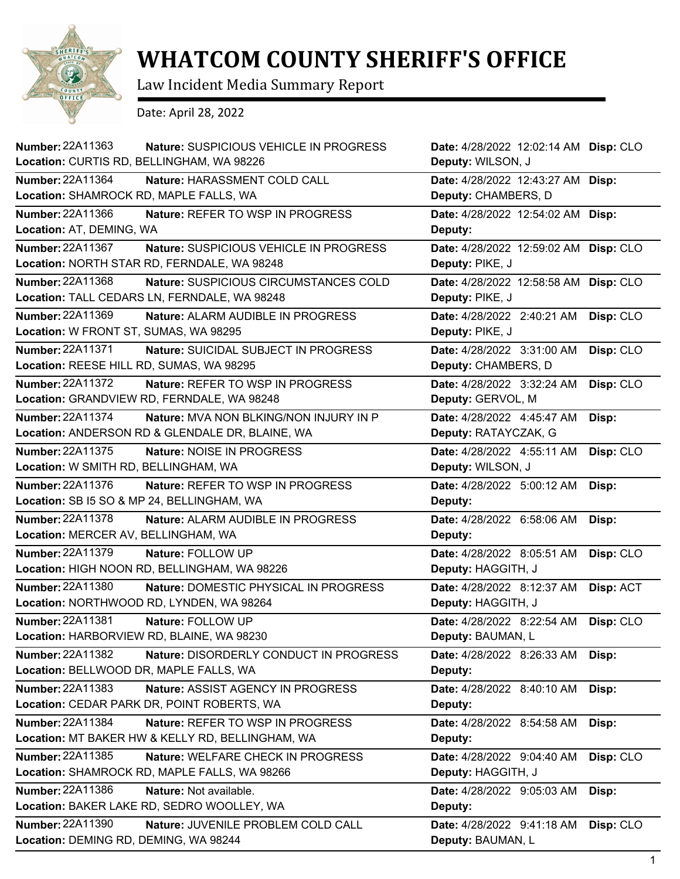

## **WHATCOM COUNTY SHERIFF'S OFFICE**

Law Incident Media Summary Report

Date: April 28, 2022

| <b>Number: 22A11363</b><br>Nature: SUSPICIOUS VEHICLE IN PROGRESS<br>Location: CURTIS RD, BELLINGHAM, WA 98226       | Date: 4/28/2022 12:02:14 AM Disp: CLO<br>Deputy: WILSON, J |           |
|----------------------------------------------------------------------------------------------------------------------|------------------------------------------------------------|-----------|
| <b>Number: 22A11364</b><br>Nature: HARASSMENT COLD CALL<br>Location: SHAMROCK RD, MAPLE FALLS, WA                    | Date: 4/28/2022 12:43:27 AM Disp:<br>Deputy: CHAMBERS, D   |           |
| Number: 22A11366<br><b>Nature: REFER TO WSP IN PROGRESS</b><br>Location: AT, DEMING, WA                              | Date: 4/28/2022 12:54:02 AM<br>Deputy:                     | Disp:     |
| Number: 22A11367<br>Nature: SUSPICIOUS VEHICLE IN PROGRESS<br>Location: NORTH STAR RD, FERNDALE, WA 98248            | Date: 4/28/2022 12:59:02 AM Disp: CLO<br>Deputy: PIKE, J   |           |
| Number: 22A11368<br>Nature: SUSPICIOUS CIRCUMSTANCES COLD<br>Location: TALL CEDARS LN, FERNDALE, WA 98248            | Date: 4/28/2022 12:58:58 AM<br>Deputy: PIKE, J             | Disp: CLO |
| Number: 22A11369<br>Nature: ALARM AUDIBLE IN PROGRESS<br>Location: W FRONT ST, SUMAS, WA 98295                       | Date: 4/28/2022 2:40:21 AM<br>Deputy: PIKE, J              | Disp: CLO |
| <b>Number: 22A11371</b><br>Nature: SUICIDAL SUBJECT IN PROGRESS<br>Location: REESE HILL RD, SUMAS, WA 98295          | Date: 4/28/2022 3:31:00 AM<br>Deputy: CHAMBERS, D          | Disp: CLO |
| <b>Number: 22A11372</b><br>Nature: REFER TO WSP IN PROGRESS<br>Location: GRANDVIEW RD, FERNDALE, WA 98248            | Date: 4/28/2022 3:32:24 AM<br>Deputy: GERVOL, M            | Disp: CLO |
| Number: 22A11374<br><b>Nature: MVA NON BLKING/NON INJURY IN P</b><br>Location: ANDERSON RD & GLENDALE DR, BLAINE, WA | Date: 4/28/2022 4:45:47 AM<br>Deputy: RATAYCZAK, G         | Disp:     |
| <b>Number: 22A11375</b><br>Nature: NOISE IN PROGRESS<br>Location: W SMITH RD, BELLINGHAM, WA                         | Date: 4/28/2022 4:55:11 AM<br>Deputy: WILSON, J            | Disp: CLO |
| Number: 22A11376<br>Nature: REFER TO WSP IN PROGRESS<br>Location: SB I5 SO & MP 24, BELLINGHAM, WA                   | Date: 4/28/2022 5:00:12 AM<br>Deputy:                      | Disp:     |
| <b>Number: 22A11378</b><br>Nature: ALARM AUDIBLE IN PROGRESS<br>Location: MERCER AV, BELLINGHAM, WA                  | Date: 4/28/2022 6:58:06 AM<br>Deputy:                      | Disp:     |
| Number: 22A11379<br>Nature: FOLLOW UP<br>Location: HIGH NOON RD, BELLINGHAM, WA 98226                                | Date: 4/28/2022 8:05:51 AM<br>Deputy: HAGGITH, J           | Disp: CLO |
| Number: 22A11380<br>Nature: DOMESTIC PHYSICAL IN PROGRESS<br>Location: NORTHWOOD RD, LYNDEN, WA 98264                | Date: 4/28/2022 8:12:37 AM<br>Deputy: HAGGITH, J           | Disp: ACT |
| Number: 22A11381<br>Nature: FOLLOW UP<br>Location: HARBORVIEW RD, BLAINE, WA 98230                                   | Date: 4/28/2022 8:22:54 AM<br>Deputy: BAUMAN, L            | Disp: CLO |
| Number: 22A11382<br>Nature: DISORDERLY CONDUCT IN PROGRESS<br>Location: BELLWOOD DR, MAPLE FALLS, WA                 | Date: 4/28/2022 8:26:33 AM<br>Deputy:                      | Disp:     |
| <b>Number: 22A11383</b><br>Nature: ASSIST AGENCY IN PROGRESS<br>Location: CEDAR PARK DR, POINT ROBERTS, WA           | Date: 4/28/2022 8:40:10 AM<br>Deputy:                      | Disp:     |
| Number: 22A11384<br>Nature: REFER TO WSP IN PROGRESS<br>Location: MT BAKER HW & KELLY RD, BELLINGHAM, WA             | Date: 4/28/2022 8:54:58 AM<br>Deputy:                      | Disp:     |
| Number: 22A11385<br>Nature: WELFARE CHECK IN PROGRESS<br>Location: SHAMROCK RD, MAPLE FALLS, WA 98266                | Date: 4/28/2022 9:04:40 AM<br>Deputy: HAGGITH, J           | Disp: CLO |
| Number: 22A11386<br>Nature: Not available.<br>Location: BAKER LAKE RD, SEDRO WOOLLEY, WA                             | Date: 4/28/2022 9:05:03 AM<br>Deputy:                      | Disp:     |
| <b>Number: 22A11390</b><br>Nature: JUVENILE PROBLEM COLD CALL<br>Location: DEMING RD, DEMING, WA 98244               | Date: 4/28/2022 9:41:18 AM<br>Deputy: BAUMAN, L            | Disp: CLO |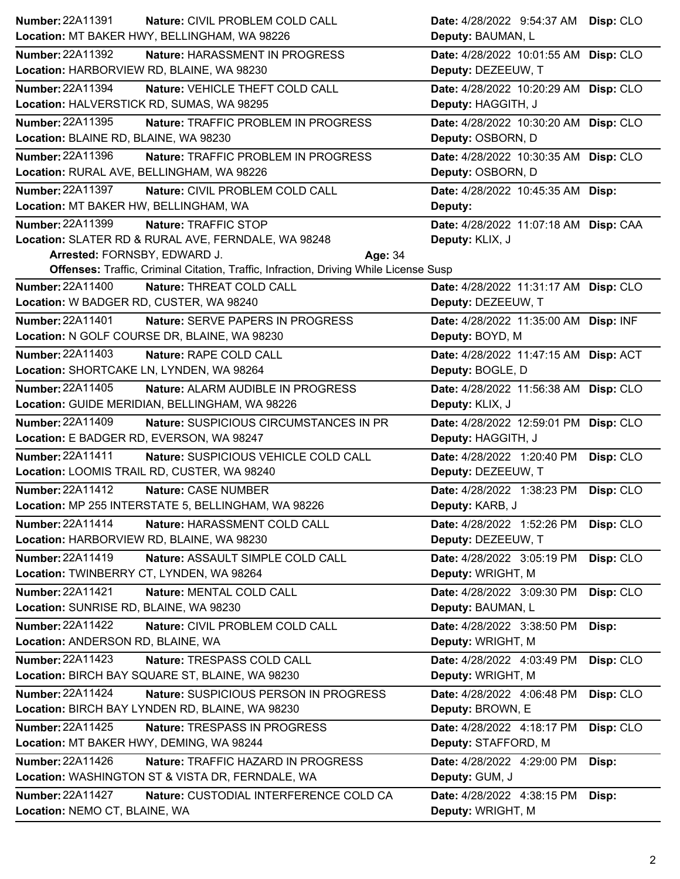| Number: 22A11391                                | Nature: CIVIL PROBLEM COLD CALL                                                              | Date: 4/28/2022 9:54:37 AM            | Disp: CLO |
|-------------------------------------------------|----------------------------------------------------------------------------------------------|---------------------------------------|-----------|
| Location: MT BAKER HWY, BELLINGHAM, WA 98226    |                                                                                              | Deputy: BAUMAN, L                     |           |
| Number: 22A11392                                | Nature: HARASSMENT IN PROGRESS                                                               | Date: 4/28/2022 10:01:55 AM Disp: CLO |           |
| Location: HARBORVIEW RD, BLAINE, WA 98230       |                                                                                              | Deputy: DEZEEUW, T                    |           |
| <b>Number: 22A11394</b>                         | Nature: VEHICLE THEFT COLD CALL                                                              | Date: 4/28/2022 10:20:29 AM Disp: CLO |           |
| Location: HALVERSTICK RD, SUMAS, WA 98295       |                                                                                              | Deputy: HAGGITH, J                    |           |
| <b>Number: 22A11395</b>                         | Nature: TRAFFIC PROBLEM IN PROGRESS                                                          | Date: 4/28/2022 10:30:20 AM Disp: CLO |           |
| Location: BLAINE RD, BLAINE, WA 98230           |                                                                                              | Deputy: OSBORN, D                     |           |
| Number: 22A11396                                | Nature: TRAFFIC PROBLEM IN PROGRESS                                                          | Date: 4/28/2022 10:30:35 AM Disp: CLO |           |
| Location: RURAL AVE, BELLINGHAM, WA 98226       |                                                                                              | Deputy: OSBORN, D                     |           |
| Number: 22A11397                                | Nature: CIVIL PROBLEM COLD CALL                                                              | Date: 4/28/2022 10:45:35 AM Disp:     |           |
| Location: MT BAKER HW, BELLINGHAM, WA           |                                                                                              | Deputy:                               |           |
| <b>Number: 22A11399</b>                         | Nature: TRAFFIC STOP                                                                         | Date: 4/28/2022 11:07:18 AM Disp: CAA |           |
|                                                 | Location: SLATER RD & RURAL AVE, FERNDALE, WA 98248                                          | Deputy: KLIX, J                       |           |
| Arrested: FORNSBY, EDWARD J.                    | Age: 34                                                                                      |                                       |           |
|                                                 | <b>Offenses: Traffic, Criminal Citation, Traffic, Infraction, Driving While License Susp</b> |                                       |           |
| <b>Number: 22A11400</b>                         | Nature: THREAT COLD CALL                                                                     | Date: 4/28/2022 11:31:17 AM Disp: CLO |           |
| Location: W BADGER RD, CUSTER, WA 98240         |                                                                                              | Deputy: DEZEEUW, T                    |           |
| <b>Number: 22A11401</b>                         | Nature: SERVE PAPERS IN PROGRESS                                                             | Date: 4/28/2022 11:35:00 AM Disp: INF |           |
| Location: N GOLF COURSE DR, BLAINE, WA 98230    |                                                                                              | Deputy: BOYD, M                       |           |
| <b>Number: 22A11403</b>                         | Nature: RAPE COLD CALL                                                                       | Date: 4/28/2022 11:47:15 AM Disp: ACT |           |
| Location: SHORTCAKE LN, LYNDEN, WA 98264        |                                                                                              | Deputy: BOGLE, D                      |           |
| <b>Number: 22A11405</b>                         | Nature: ALARM AUDIBLE IN PROGRESS                                                            | Date: 4/28/2022 11:56:38 AM Disp: CLO |           |
| Location: GUIDE MERIDIAN, BELLINGHAM, WA 98226  |                                                                                              | Deputy: KLIX, J                       |           |
|                                                 |                                                                                              |                                       |           |
| <b>Number: 22A11409</b>                         | Nature: SUSPICIOUS CIRCUMSTANCES IN PR                                                       | Date: 4/28/2022 12:59:01 PM Disp: CLO |           |
| Location: E BADGER RD, EVERSON, WA 98247        |                                                                                              | Deputy: HAGGITH, J                    |           |
| <b>Number: 22A11411</b>                         | Nature: SUSPICIOUS VEHICLE COLD CALL                                                         | Date: 4/28/2022 1:20:40 PM            | Disp: CLO |
| Location: LOOMIS TRAIL RD, CUSTER, WA 98240     |                                                                                              | Deputy: DEZEEUW, T                    |           |
| Number: 22A11412                                | Nature: CASE NUMBER                                                                          | Date: 4/28/2022 1:38:23 PM            | Disp: CLO |
|                                                 | Location: MP 255 INTERSTATE 5, BELLINGHAM, WA 98226                                          | Deputy: KARB, J                       |           |
| <b>Number: 22A11414</b>                         | Nature: HARASSMENT COLD CALL                                                                 | Date: 4/28/2022 1:52:26 PM            | Disp: CLO |
| Location: HARBORVIEW RD, BLAINE, WA 98230       |                                                                                              | Deputy: DEZEEUW, T                    |           |
| Number: 22A11419                                | Nature: ASSAULT SIMPLE COLD CALL                                                             | Date: 4/28/2022 3:05:19 PM            | Disp: CLO |
| Location: TWINBERRY CT, LYNDEN, WA 98264        |                                                                                              | Deputy: WRIGHT, M                     |           |
| <b>Number: 22A11421</b>                         | Nature: MENTAL COLD CALL                                                                     | Date: 4/28/2022 3:09:30 PM            | Disp: CLO |
| Location: SUNRISE RD, BLAINE, WA 98230          |                                                                                              | Deputy: BAUMAN, L                     |           |
| <b>Number: 22A11422</b>                         | Nature: CIVIL PROBLEM COLD CALL                                                              | Date: 4/28/2022 3:38:50 PM            | Disp:     |
| Location: ANDERSON RD, BLAINE, WA               |                                                                                              | Deputy: WRIGHT, M                     |           |
| <b>Number: 22A11423</b>                         | Nature: TRESPASS COLD CALL                                                                   | Date: 4/28/2022 4:03:49 PM            | Disp: CLO |
| Location: BIRCH BAY SQUARE ST, BLAINE, WA 98230 |                                                                                              | Deputy: WRIGHT, M                     |           |
| <b>Number: 22A11424</b>                         | Nature: SUSPICIOUS PERSON IN PROGRESS                                                        | Date: 4/28/2022 4:06:48 PM            | Disp: CLO |
| Location: BIRCH BAY LYNDEN RD, BLAINE, WA 98230 |                                                                                              | Deputy: BROWN, E                      |           |
| <b>Number: 22A11425</b>                         | Nature: TRESPASS IN PROGRESS                                                                 | Date: 4/28/2022 4:18:17 PM            | Disp: CLO |
| Location: MT BAKER HWY, DEMING, WA 98244        |                                                                                              | Deputy: STAFFORD, M                   |           |
| Number: 22A11426                                | Nature: TRAFFIC HAZARD IN PROGRESS                                                           | Date: 4/28/2022 4:29:00 PM            | Disp:     |
|                                                 | Location: WASHINGTON ST & VISTA DR, FERNDALE, WA                                             | Deputy: GUM, J                        |           |
| <b>Number: 22A11427</b>                         | Nature: CUSTODIAL INTERFERENCE COLD CA                                                       | Date: 4/28/2022 4:38:15 PM            | Disp:     |
| Location: NEMO CT, BLAINE, WA                   |                                                                                              | Deputy: WRIGHT, M                     |           |